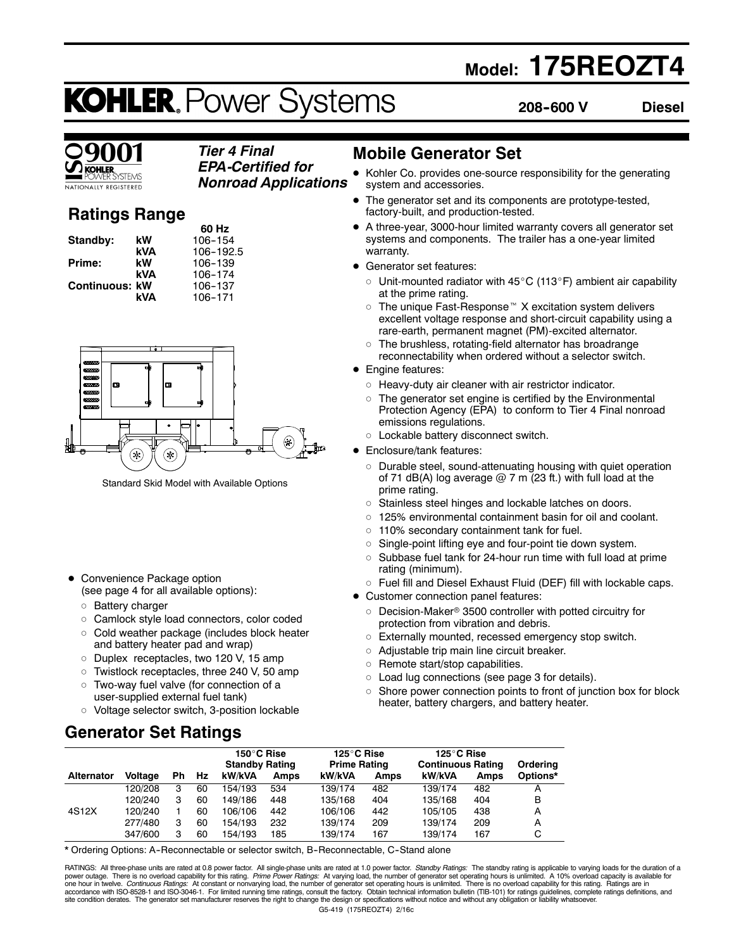## **Model: 175REOZT4**

# **KOHLER. Power Systems**

**208--600 V Diesel**

#### *Tier 4 Final EPA-Certified for*

**TIONALLY REGISTERED** 

*Nonroad Applications*

### **Ratings Range**

|                       |     | 60 Hz     |
|-----------------------|-----|-----------|
| Standby:              | kW  | 106-154   |
|                       | kVA | 106-192.5 |
| Prime:                | kW  | 106-139   |
|                       | kVA | 106-174   |
| <b>Continuous: kW</b> |     | 106-137   |
|                       | kVA | 106-171   |



Standard Skid Model with Available Options

- Convenience Package option (see page 4 for all available options):
	-
	- o Battery charger
	- o Camlock style load connectors, color coded
	- $\circ$  Cold weather package (includes block heater and battery heater pad and wrap)
	- o Duplex receptacles, two 120 V, 15 amp
	- $\circ$  Twistlock receptacles, three 240 V, 50 amp
	- o Two-way fuel valve (for connection of a user-supplied external fuel tank)
	- o Voltage selector switch, 3-position lockable

### **Generator Set Ratings**

### **Mobile Generator Set**

- Kohler Co. provides one-source responsibility for the generating system and accessories.
- The generator set and its components are prototype-tested, factory-built, and production-tested.
- A three-year, 3000-hour limited warranty covers all generator set systems and components. The trailer has a one-year limited warranty.
- Generator set features:
	- $\circ$  Unit-mounted radiator with 45 $\rm{^{\circ}C}$  (113 $\rm{^{\circ}F}$ ) ambient air capability at the prime rating.
	- $\circ$  The unique Fast-Response<sup> $M$ </sup> X excitation system delivers excellent voltage response and short-circuit capability using a rare-earth, permanent magnet (PM)-excited alternator.
	- $\circ$  The brushless, rotating-field alternator has broadrange reconnectability when ordered without a selector switch.
- Engine features:
	- $\circ$  Heavy-duty air cleaner with air restrictor indicator.
	- $\circ$  The generator set engine is certified by the Environmental Protection Agency (EPA) to conform to Tier 4 Final nonroad emissions regulations.
- o Lockable battery disconnect switch.
- Enclosure/tank features:
	- $\circ$  Durable steel, sound-attenuating housing with quiet operation of 71 dB(A) log average  $@$  7 m (23 ft.) with full load at the prime rating.
	- o Stainless steel hinges and lockable latches on doors.
	- $\circ$  125% environmental containment basin for oil and coolant.
	- $\circ$  110% secondary containment tank for fuel.
	- $\circ$  Single-point lifting eye and four-point tie down system.
	- $\circ$  Subbase fuel tank for 24-hour run time with full load at prime rating (minimum).
	- $\circ$  Fuel fill and Diesel Exhaust Fluid (DEF) fill with lockable caps.
- Customer connection panel features:
	- $\circ$  Decision-Maker® 3500 controller with potted circuitry for protection from vibration and debris.
	- o Externally mounted, recessed emergency stop switch.
	- $\circ$  Adjustable trip main line circuit breaker.
	- $\circ$  Remote start/stop capabilities.
	- $\circ$  Load lug connections (see page 3 for details).
	- $\circ$  Shore power connection points to front of junction box for block heater, battery chargers, and battery heater.

|                   |                |    |    | 150°C Rise<br><b>Standby Rating</b> |             | 125°C Rise<br><b>Prime Rating</b> |      | 125°C Rise<br><b>Continuous Rating</b> |             | Ordering |
|-------------------|----------------|----|----|-------------------------------------|-------------|-----------------------------------|------|----------------------------------------|-------------|----------|
| <b>Alternator</b> | <b>Voltage</b> | Ph | Hz | kW/kVA                              | <b>Amps</b> | kW/kVA                            | Amps | kW/kVA                                 | <b>Amps</b> | Options* |
|                   | 120/208        | з  | 60 | 154/193                             | 534         | 139/174                           | 482  | 139/174                                | 482         |          |
|                   | 120/240        | 3  | 60 | 149/186                             | 448         | 135/168                           | 404  | 135/168                                | 404         | в        |
| 4S12X             | 120/240        |    | 60 | 106/106                             | 442         | 106/106                           | 442  | 105/105                                | 438         | A        |
|                   | 277/480        | 3  | 60 | 154/193                             | 232         | 139/174                           | 209  | 139/174                                | 209         | А        |
|                   | 347/600        | з  | 60 | 154/193                             | 185         | 139/174                           | 167  | 139/174                                | 167         | С        |

\* Ordering Options: A--Reconnectable or selector switch, B--Reconnectable, C--Stand alone

G5-419 (175REOZT4) 2/16c RATINGS: All three-phase units are rated at 0.8 power factor. All single-phase units are rated at 1.0 power factor. Standby Ratings: The standby rating is applicable to varying loads for the duration of a power outage. There is no overload capability for this rating. *Prime Power Ratings:* At varying load, the number of generator set operating hours is unlimited. A 10% overload capacity is available for<br>one hour in twelve.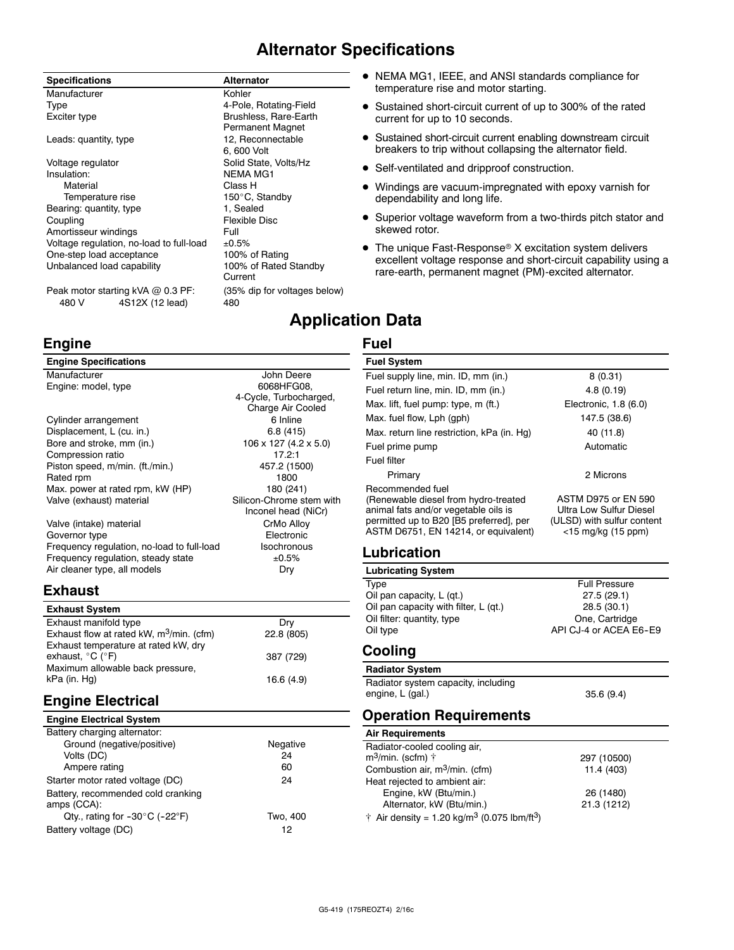### **Alternator Specifications**

#### **Specifications Alternator** Manufacturer **Kohler** Kohler Type 4-Pole, Rotating-Field Exciter type **Brushless**, Rare-Earth Permanent Magnet Leads: quantity, type 12, Reconnectable 6, 600 Volt Voltage regulator **Solid State, Volts/Hz** Insulation: NEMA MG1 Material Class H<br>Temperature rise Temperature of the Material Solid 150°C, Standby Bearing: quantity, type 1, Sealed Coupling **Flexible Disc** Amortisseur windings The Manuscript Control of Full Voltage regulation, no-load to full-load  $\pm 0.5\%$ <br>One-step load acceptance 100% of Rating One-step load acceptance Unbalanced load capability 100% of Rated Standby Current

Peak motor starting kVA @ 0.3 PF: (35% dip for voltages below) 480 V 4S12X (12 lead) 480

### **Engine**

### **Engine Specifications**

| Manufacturer                               | John Deere                          |
|--------------------------------------------|-------------------------------------|
| Engine: model, type                        | 6068HFG08.                          |
|                                            | 4-Cycle, Turbocharged,              |
|                                            | Charge Air Cooled                   |
| Cylinder arrangement                       | 6 Inline                            |
| Displacement, L (cu. in.)                  | 6.8(415)                            |
| Bore and stroke, mm (in.)                  | $106 \times 127$ (4.2 $\times$ 5.0) |
| Compression ratio                          | 17.2:1                              |
| Piston speed, m/min. (ft./min.)            | 457.2 (1500)                        |
| Rated rpm                                  | 1800                                |
| Max. power at rated rpm, kW (HP)           | 180 (241)                           |
| Valve (exhaust) material                   | Silicon-Chrome stem with            |
|                                            | Inconel head (NiCr)                 |
| Valve (intake) material                    | CrMo Alloy                          |
| Governor type                              | Electronic                          |
| Frequency regulation, no-load to full-load | Isochronous                         |
| Frequency regulation, steady state         | ±0.5%                               |
| Air cleaner type, all models               | Dry                                 |

### **Exhaust**

| <b>Exhaust System</b>                                                         |            |
|-------------------------------------------------------------------------------|------------|
| Exhaust manifold type                                                         | Drv        |
| Exhaust flow at rated kW, $m^3$ /min. (cfm)                                   | 22.8 (805) |
| Exhaust temperature at rated kW, dry<br>exhaust, $^{\circ}$ C ( $^{\circ}$ F) | 387 (729)  |
| Maximum allowable back pressure,                                              |            |
| kPa (in. Hg)                                                                  | 16.6 (4.9) |

### **Engine Electrical**

| <b>Engine Electrical System</b> |  |
|---------------------------------|--|
|                                 |  |

| Battery charging alternator:                        |          |
|-----------------------------------------------------|----------|
| Ground (negative/positive)                          | Negative |
| Volts (DC)                                          | 24       |
| Ampere rating                                       | 60       |
| Starter motor rated voltage (DC)                    | 24       |
| Battery, recommended cold cranking<br>amps (CCA):   |          |
| Qty., rating for $-30^{\circ}$ C ( $-22^{\circ}$ F) | Two. 400 |
| Battery voltage (DC)                                | 12       |

- NEMA MG1, IEEE, and ANSI standards compliance for temperature rise and motor starting.
- Sustained short-circuit current of up to 300% of the rated current for up to 10 seconds.
- Sustained short-circuit current enabling downstream circuit breakers to trip without collapsing the alternator field.
- Self-ventilated and dripproof construction.
- Windings are vacuum-impregnated with epoxy varnish for dependability and long life.
- Superior voltage waveform from a two-thirds pitch stator and skewed rotor.
- $\bullet$  The unique Fast-Response® X excitation system delivers excellent voltage response and short-circuit capability using a rare-earth, permanent magnet (PM)-excited alternator.

### **Application Data**

### **Fuel**

#### **Fuel System** Fuel supply line, min. ID, mm (in.) 8 (0.31) Fuel return line, min. ID, mm (in.) 4.8 (0.19) Max. lift, fuel pump: type, m (ft.) Electronic, 1.8 (6.0) Max. fuel flow, Lph (gph) 147.5 (38.6) Max. return line restriction, kPa (in. Hg) 40 (11.8) Fuel prime pump and a set of the Automatic Automatic Fuel filter Primary 2 Microns Recommended fuel (Renewable diesel from hydro-treated animal fats and/or vegetable oils is permitted up to B20 [B5 preferred], per ASTM D6751, EN 14214, or equivalent) ASTM D975 or EN 590 Ultra Low Sulfur Diesel (ULSD) with sulfur content <15 mg/kg (15 ppm) **Lubrication Lubricating System**

| Type                                  | <b>Full Pressure</b>   |
|---------------------------------------|------------------------|
| Oil pan capacity, L (qt.)             | 27.5(29.1)             |
| Oil pan capacity with filter, L (qt.) | 28.5(30.1)             |
| Oil filter: quantity, type            | One, Cartridge         |
| Oil type                              | API CJ-4 or ACEA E6-E9 |
|                                       |                        |

### **Cooling**

**Radiator System** Radiator system capacity, including engine, L (gal.) 35.6 (9.4)

### **Operation Requirements**

### **Air Requirements**

| Radiator-cooled cooling air,                                        |             |
|---------------------------------------------------------------------|-------------|
| m <sup>3</sup> /min. (scfm) †                                       | 297 (10500) |
| Combustion air, m <sup>3</sup> /min. (cfm)                          | 11.4 (403)  |
| Heat rejected to ambient air:                                       |             |
| Engine, kW (Btu/min.)                                               | 26 (1480)   |
| Alternator, kW (Btu/min.)                                           | 21.3 (1212) |
| † Air density = 1.20 kg/m <sup>3</sup> (0.075 lbm/ft <sup>3</sup> ) |             |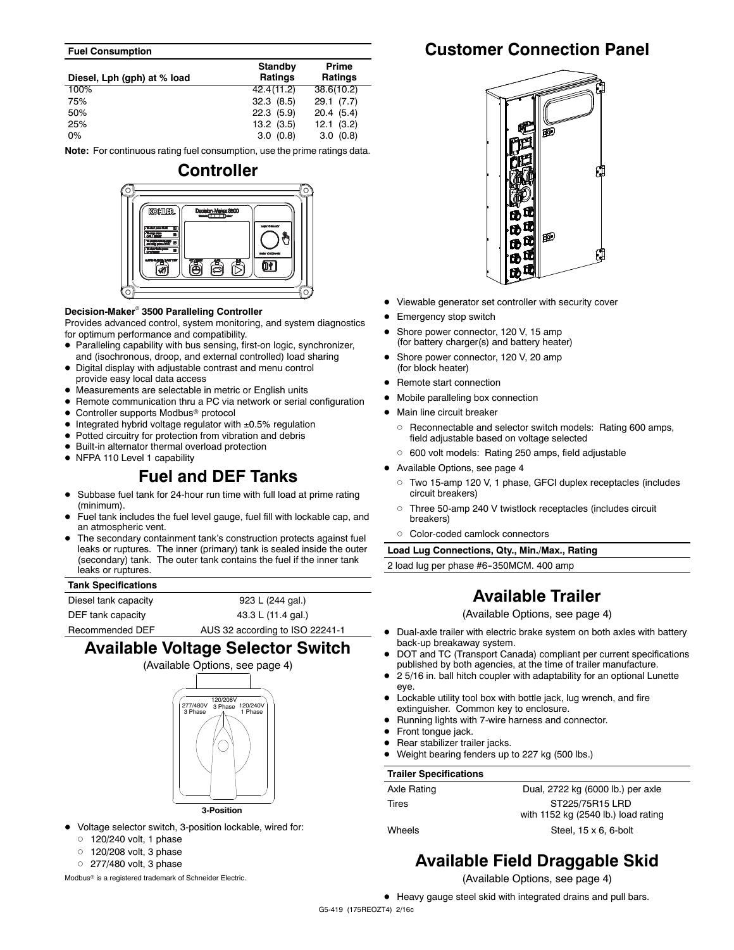#### **Fuel Consumption**

| Diesel, Lph (gph) at % load | <b>Standby</b><br>Ratings | Prime<br>Ratings |
|-----------------------------|---------------------------|------------------|
| 100%                        | 42.4(11.2)                | 38.6(10.2)       |
| 75%                         | 32.3(8.5)                 | 29.1(7.7)        |
| 50%                         | $22.3$ (5.9)              | 20.4(5.4)        |
| 25%                         | 13.2(3.5)                 | 12.1(3.2)        |
| $0\%$                       | 3.0(0.8)                  | 3.0(0.8)         |

**Note:** For continuous rating fuel consumption, use the prime ratings data.



#### **Decision-Maker<sup>®</sup> 3500 Paralleling Controller**

Provides advanced control, system monitoring, and system diagnostics for optimum performance and compatibility.

- Paralleling capability with bus sensing, first-on logic, synchronizer, and (isochronous, droop, and external controlled) load sharing
- Digital display with adjustable contrast and menu control provide easy local data access
- $\bullet$  Measurements are selectable in metric or English units
- Remote communication thru a PC via network or serial configuration
- $\bullet$  Controller supports Modbus® protocol
- $\bullet$  Integrated hybrid voltage regulator with  $\pm 0.5\%$  regulation
- $\bullet$  Potted circuitry for protection from vibration and debris
- $\bullet$  Built-in alternator thermal overload protection
- NFPA 110 Level 1 capability

### **Fuel and DEF Tanks**

- Subbase fuel tank for 24-hour run time with full load at prime rating (minimum).
- Fuel tank includes the fuel level gauge, fuel fill with lockable cap, and an atmospheric vent.
- The secondary containment tank's construction protects against fuel leaks or ruptures. The inner (primary) tank is sealed inside the outer (secondary) tank. The outer tank contains the fuel if the inner tank leaks or ruptures.

#### **Tank Specifications**

Diesel tank capacity **923 L (244 gal.)** DEF tank capacity 43.3 L (11.4 gal.) Recommended DEF AUS 32 according to ISO 22241-1

### **Available Voltage Selector Switch**



- $\bullet$  Voltage selector switch, 3-position lockable, wired for:
	- $0$  120/240 volt, 1 phase
	- $0$  120/208 volt, 3 phase
	- $O$  277/480 volt, 3 phase

Modbus<sup>®</sup> is a registered trademark of Schneider Electric.

### **Customer Connection Panel**



- Viewable generator set controller with security cover
- Emergency stop switch
- Shore power connector, 120 V, 15 amp (for battery charger(s) and battery heater)
- Shore power connector, 120 V, 20 amp (for block heater)
- Remote start connection
- $\bullet$  Mobile paralleling box connection
- Main line circuit breaker
	- o Reconnectable and selector switch models: Rating 600 amps, field adjustable based on voltage selected
	- o 600 volt models: Rating 250 amps, field adjustable
- Available Options, see page 4
	- d Two 15-amp 120 V, 1 phase, GFCI duplex receptacles (includes circuit breakers)
	- o Three 50-amp 240 V twistlock receptacles (includes circuit breakers)
	- d Color-coded camlock connectors

**Load Lug Connections, Qty., Min./Max., Rating**

2 load lug per phase #6-350MCM. 400 amp

### **Available Trailer**

(Available Options, see page 4)

- Dual-axle trailer with electric brake system on both axles with battery back-up breakaway system.
- DOT and TC (Transport Canada) compliant per current specifications published by both agencies, at the time of trailer manufacture.
- $\bullet$  2 5/16 in. ball hitch coupler with adaptability for an optional Lunette eye.
- $\bullet$  Lockable utility tool box with bottle jack, lug wrench, and fire extinguisher. Common key to enclosure.
- Running lights with 7-wire harness and connector.
- $\bullet$  Front tongue jack.
- Rear stabilizer trailer jacks.
- Weight bearing fenders up to 227 kg (500 lbs.)

#### **Trailer Specifications**

| Axle Rating | Dual, 2722 kg (6000 lb.) per axle   |
|-------------|-------------------------------------|
| Tires       | ST225/75R15 LRD                     |
|             | with 1152 kg (2540 lb.) load rating |
| Wheels      | Steel, $15 \times 6$ , 6-bolt       |

### **Available Field Draggable Skid**

(Available Options, see page 4)

• Heavy gauge steel skid with integrated drains and pull bars.